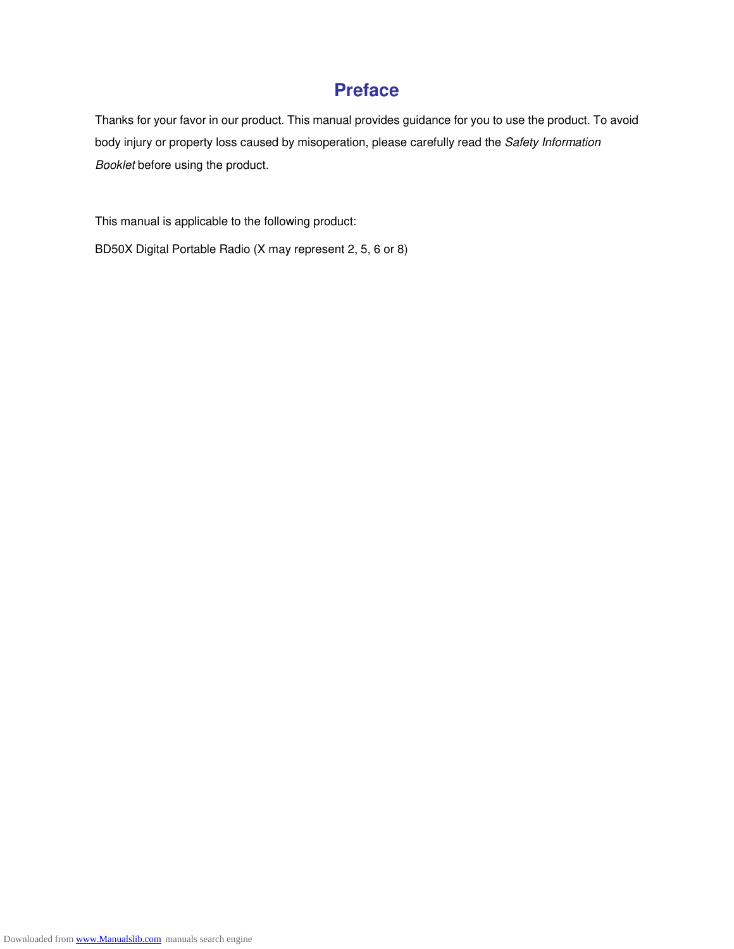#### **Preface**

Thanks for your favor in our product. This manual provides guidance for you to use the product. To avoid body injury or property loss caused by misoperation, please carefully read the *Safety Information Booklet* before using the product.

This manual is applicable to the following product:

BD50X Digital Portable Radio (X may represent 2, 5, 6 or 8)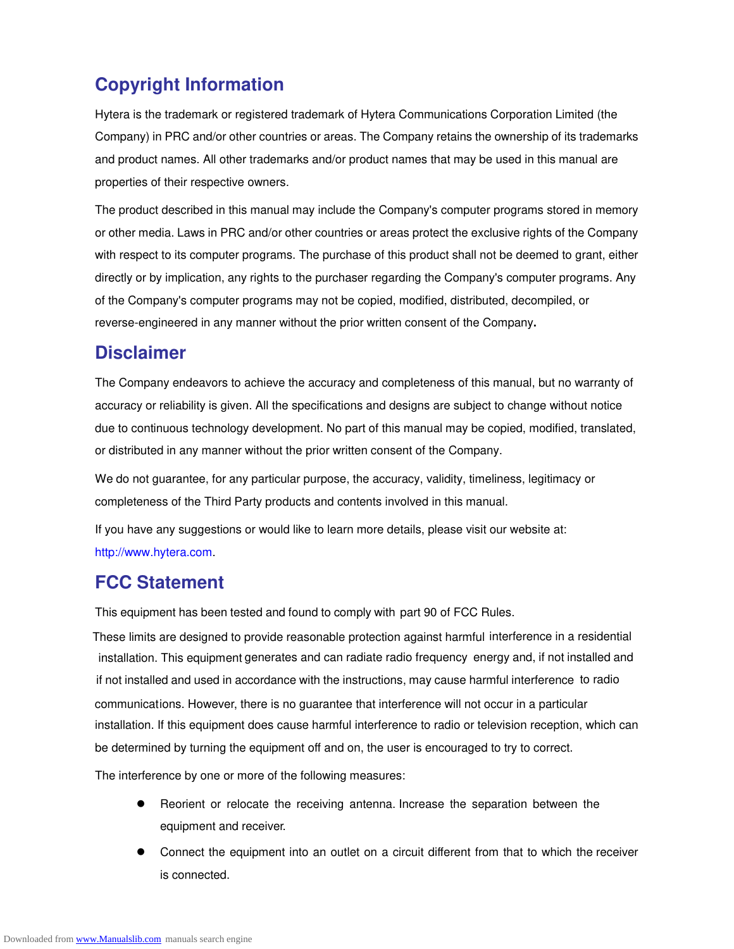### **Copyright Information**

Hytera is the trademark or registered trademark of Hytera Communications Corporation Limited (the Company) in PRC and/or other countries or areas. The Company retains the ownership of its trademarks and product names. All other trademarks and/or product names that may be used in this manual are properties of their respective owners.

The product described in this manual may include the Company's computer programs stored in memory or other media. Laws in PRC and/or other countries or areas protect the exclusive rights of the Company with respect to its computer programs. The purchase of this product shall not be deemed to grant, either directly or by implication, any rights to the purchaser regarding the Company's computer programs. Any of the Company's computer programs may not be copied, modified, distributed, decompiled, or reverse-engineered in any manner without the prior written consent of the Company**.**

#### **Disclaimer**

The Company endeavors to achieve the accuracy and completeness of this manual, but no warranty of accuracy or reliability is given. All the specifications and designs are subject to change without notice due to continuous technology development. No part of this manual may be copied, modified, translated, or distributed in any manner without the prior written consent of the Company.

We do not guarantee, for any particular purpose, the accuracy, validity, timeliness, legitimacy or completeness of the Third Party products and contents involved in this manual.

If you have any suggestions or would like to learn more details, please visit our website at: http://www.hytera.com.

#### **FCC Statement**

This equipment has been tested and found to comply with part 90 of FCC Rules.

communicat ions. However, there is no guarantee that interference will not occur in a particular if not installed and used in accordance with the instructions, may cause harmful interference to radio installation. This equipment generates and can radiate radio frequency energy and, if not installed and These limits are designed to provide reasonable protection against harmful interference in a residential installation. If this equipment does cause harmful interference to radio or television reception, which can be determined by turning the equipment off and on, the user is encouraged to try to correct.

The interference by one or more of the following measures:

- Reorient or relocate the receiving antenna. Increase the separation between the equipment and receiver.
- Connect the equipment into an outlet on a circuit different from that to which the receiver is connected.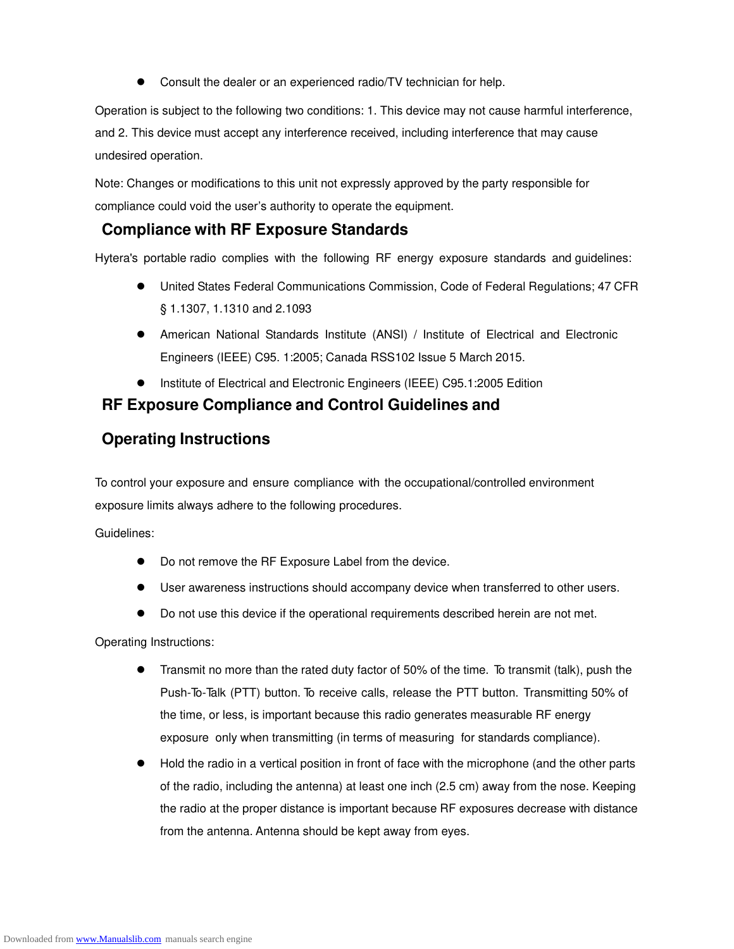Consult the dealer or an experienced radio/TV technician for help.

Operation is subject to the following two conditions: 1. This device may not cause harmful interference, and 2. This device must accept any interference received, including interference that may cause undesired operation.

Note: Changes or modifications to this unit not expressly approved by the party responsible for compliance could void the user's authority to operate the equipment.

#### **Compliance with RF Exposure Standards**

Hytera's portable radio complies with the following RF energy exposure standards and guidelines:

- United States Federal Communications Commission, Code of Federal Regulations; 47 CFR § 1.1307, 1.1310 and 2.1093
- American National Standards Institute (ANSI) / Institute of Electrical and Electronic Engineers (IEEE) C95. 1:2005; Canada RSS102 Issue 5 March 2015.
- Institute of Electrical and Electronic Engineers (IEEE) C95.1:2005 Edition

#### **RF Exposure Compliance and Control Guidelines and**

#### **Operating Instructions**

To control your exposure and ensure compliance with the occupational/controlled environment exposure limits always adhere to the following procedures.

Guidelines:

- Do not remove the RF Exposure Label from the device.
- User awareness instructions should accompany device when transferred to other users.
- Do not use this device if the operational requirements described herein are not met.

Operating Instructions:

- Transmit no more than the rated duty factor of 50% of the time. To transmit (talk), push the Push-To-Talk (PTT) button. To receive calls, release the PTT button. Transmitting 50% of the time, or less, is important because this radio generates measurable RF energy exposure only when transmitting (in terms of measuring for standards compliance).
- Hold the radio in a vertical position in front of face with the microphone (and the other parts of the radio, including the antenna) at least one inch (2.5 cm) away from the nose. Keeping the radio at the proper distance is important because RF exposures decrease with distance from the antenna. Antenna should be kept away from eyes.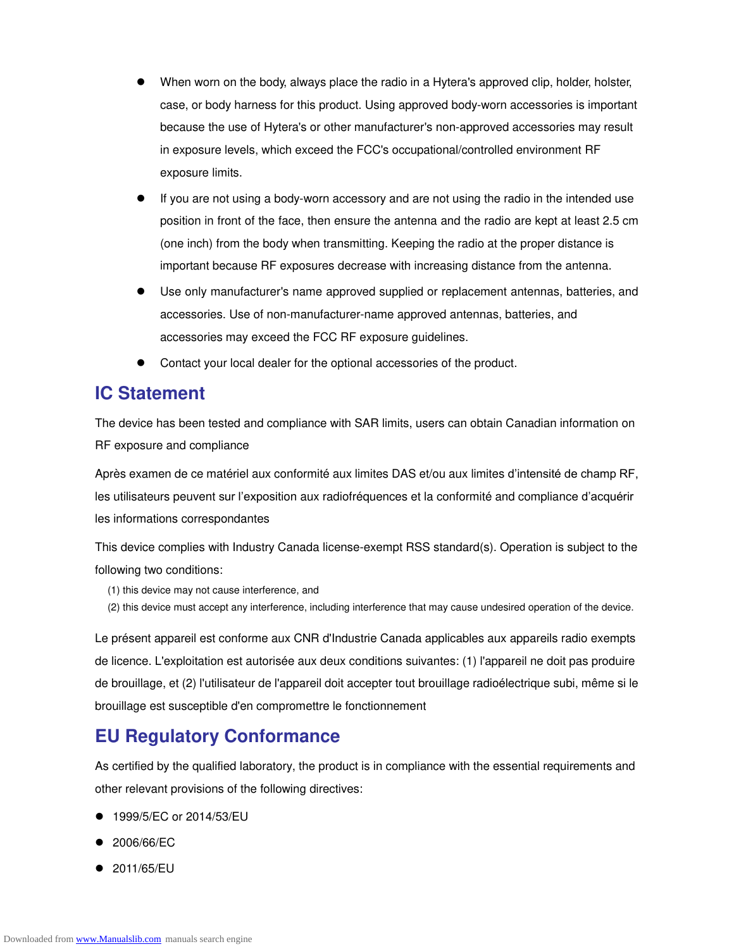- When worn on the body, always place the radio in a Hytera's approved clip, holder, holster, case, or body harness for this product. Using approved body-worn accessories is important because the use of Hytera's or other manufacturer's non-approved accessories may result in exposure levels, which exceed the FCC's occupational/controlled environment RF exposure limits.
- If you are not using a body-worn accessory and are not using the radio in the intended use position in front of the face, then ensure the antenna and the radio are kept at least 2.5 cm (one inch) from the body when transmitting. Keeping the radio at the proper distance is important because RF exposures decrease with increasing distance from the antenna.
- Use only manufacturer's name approved supplied or replacement antennas, batteries, and accessories. Use of non-manufacturer-name approved antennas, batteries, and accessories may exceed the FCC RF exposure guidelines.
- Contact your local dealer for the optional accessories of the product.

#### **IC Statement**

The device has been tested and compliance with SAR limits, users can obtain Canadian information on RF exposure and compliance

Après examen de ce matériel aux conformité aux limites DAS et/ou aux limites d'intensité de champ RF, les utilisateurs peuvent sur l'exposition aux radiofréquences et la conformité and compliance d'acquérir les informations correspondantes

This device complies with Industry Canada license-exempt RSS standard(s). Operation is subject to the following two conditions:

- (1) this device may not cause interference, and
- (2) this device must accept any interference, including interference that may cause undesired operation of the device.

Le présent appareil est conforme aux CNR d'Industrie Canada applicables aux appareils radio exempts de licence. L'exploitation est autorisée aux deux conditions suivantes: (1) l'appareil ne doit pas produire de brouillage, et (2) l'utilisateur de l'appareil doit accepter tout brouillage radioélectrique subi, même si le brouillage est susceptible d'en compromettre le fonctionnement

#### **EU Regulatory Conformance**

As certified by the qualified laboratory, the product is in compliance with the essential requirements and other relevant provisions of the following directives:

- 1999/5/EC or 2014/53/EU
- 2006/66/EC
- 2011/65/EU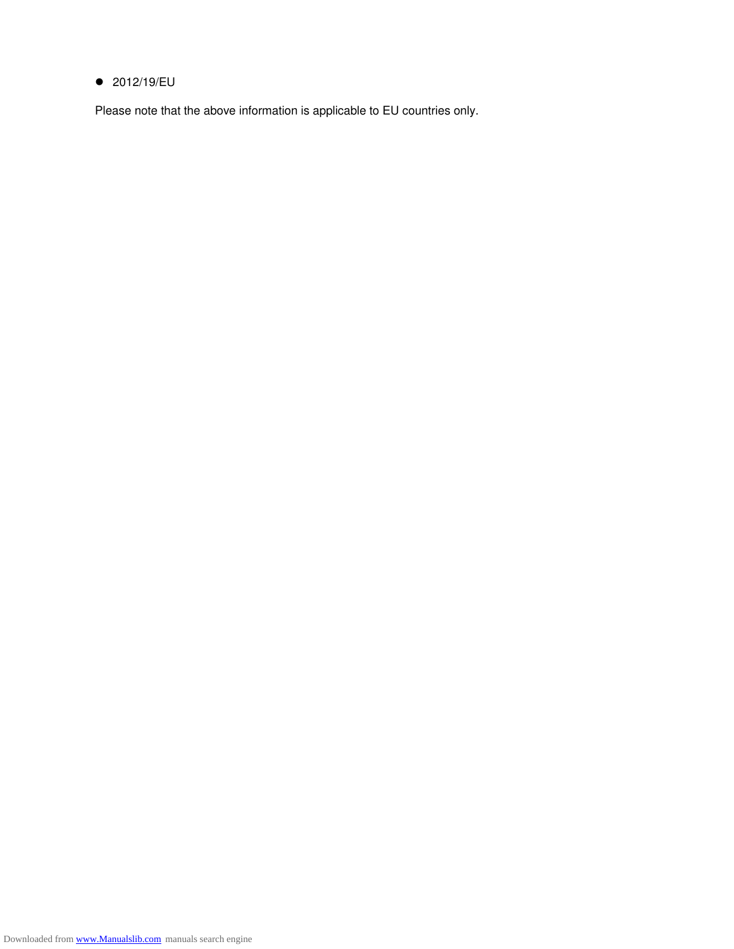#### ● 2012/19/EU

Please note that the above information is applicable to EU countries only.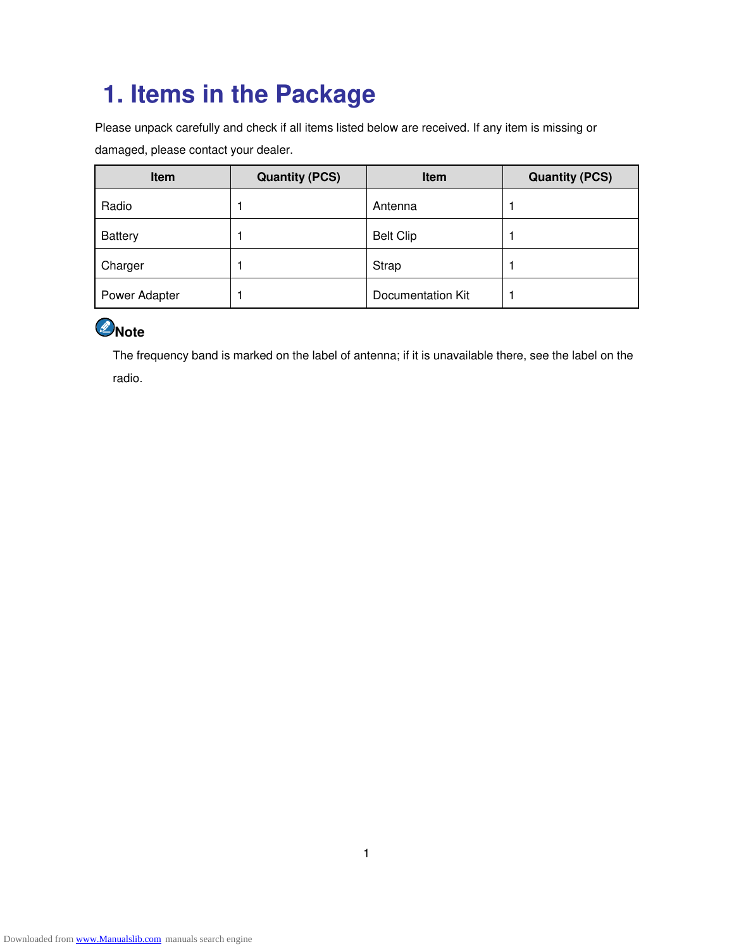# **1. Items in the Package**

Please unpack carefully and check if all items listed below are received. If any item is missing or damaged, please contact your dealer.

| Item           | <b>Quantity (PCS)</b> | <b>Item</b>       | <b>Quantity (PCS)</b> |
|----------------|-----------------------|-------------------|-----------------------|
| Radio          |                       | Antenna           |                       |
| <b>Battery</b> |                       | <b>Belt Clip</b>  |                       |
| Charger        |                       | Strap             |                       |
| Power Adapter  |                       | Documentation Kit |                       |



The frequency band is marked on the label of antenna; if it is unavailable there, see the label on the radio.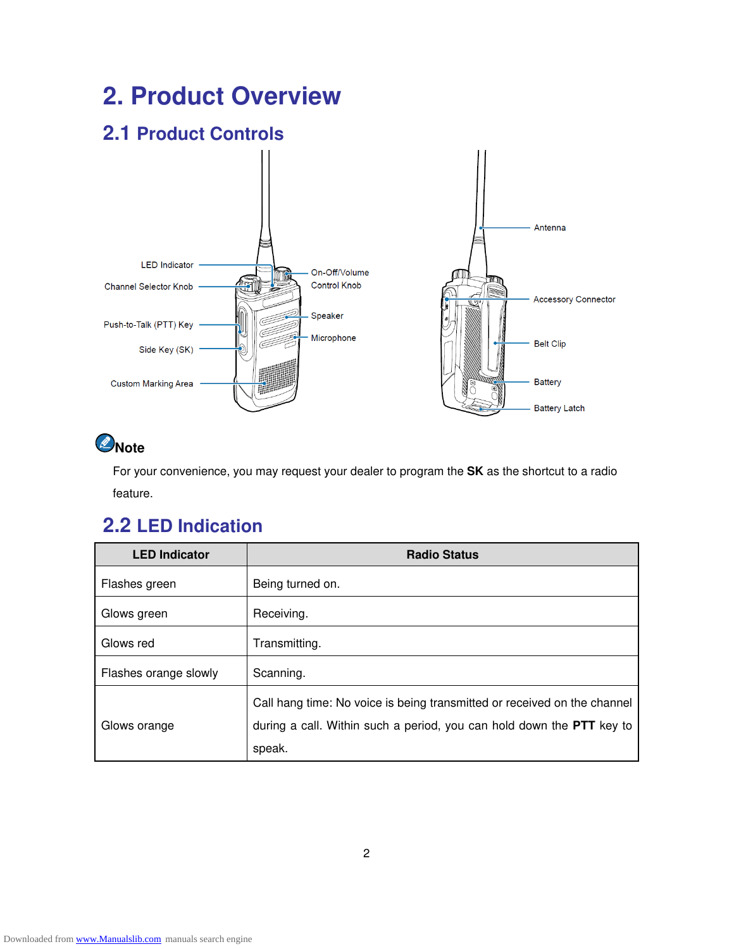# **2. Product Overview**

## **2.1 Product Controls**



## $\bigcirc$  Note

For your convenience, you may request your dealer to program the **SK** as the shortcut to a radio feature.

### **2.2 LED Indication**

| <b>LED Indicator</b>  | <b>Radio Status</b>                                                                                                                                         |
|-----------------------|-------------------------------------------------------------------------------------------------------------------------------------------------------------|
| Flashes green         | Being turned on.                                                                                                                                            |
| Glows green           | Receiving.                                                                                                                                                  |
| Glows red             | Transmitting.                                                                                                                                               |
| Flashes orange slowly | Scanning.                                                                                                                                                   |
| Glows orange          | Call hang time: No voice is being transmitted or received on the channel<br>during a call. Within such a period, you can hold down the PTT key to<br>speak. |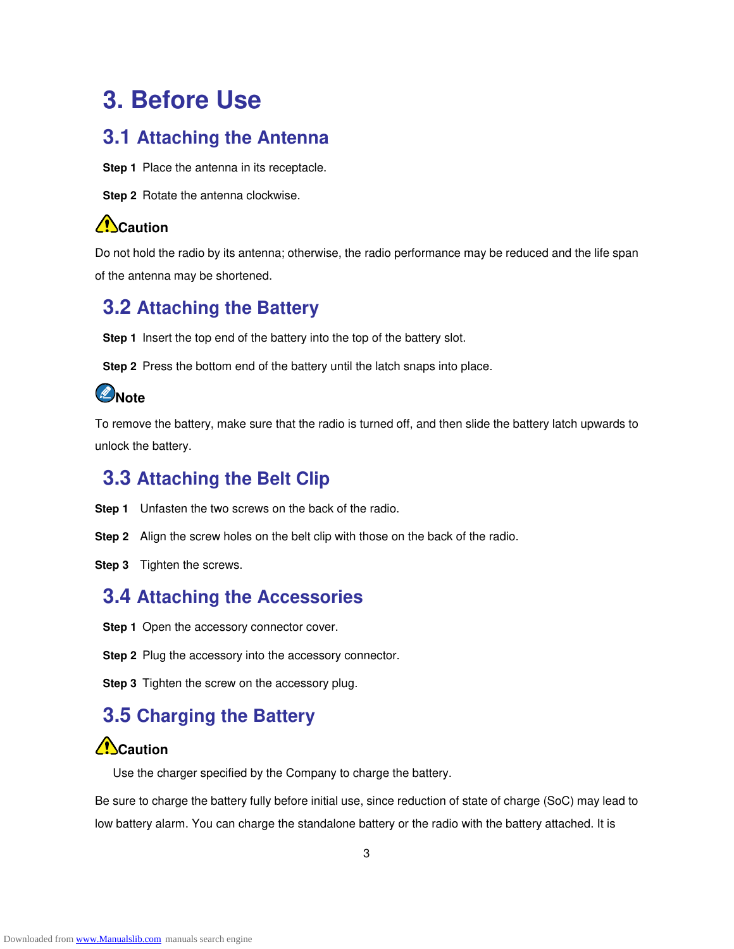# **3. Before Use**

#### **3.1 Attaching the Antenna**

**Step 1** Place the antenna in its receptacle.

**Step 2** Rotate the antenna clockwise.

#### **ZD**Caution

Do not hold the radio by its antenna; otherwise, the radio performance may be reduced and the life span of the antenna may be shortened.

#### **3.2 Attaching the Battery**

**Step 1** Insert the top end of the battery into the top of the battery slot.

**Step 2** Press the bottom end of the battery until the latch snaps into place.

### *<u></u>*Note

To remove the battery, make sure that the radio is turned off, and then slide the battery latch upwards to unlock the battery.

#### **3.3 Attaching the Belt Clip**

- **Step 1** Unfasten the two screws on the back of the radio.
- **Step 2** Align the screw holes on the belt clip with those on the back of the radio.
- **Step 3** Tighten the screws.

#### **3.4 Attaching the Accessories**

**Step 1** Open the accessory connector cover.

**Step 2** Plug the accessory into the accessory connector.

**Step 3** Tighten the screw on the accessory plug.

### **3.5 Charging the Battery**

#### **ZC**aution

Use the charger specified by the Company to charge the battery.

Be sure to charge the battery fully before initial use, since reduction of state of charge (SoC) may lead to low battery alarm. You can charge the standalone battery or the radio with the battery attached. It is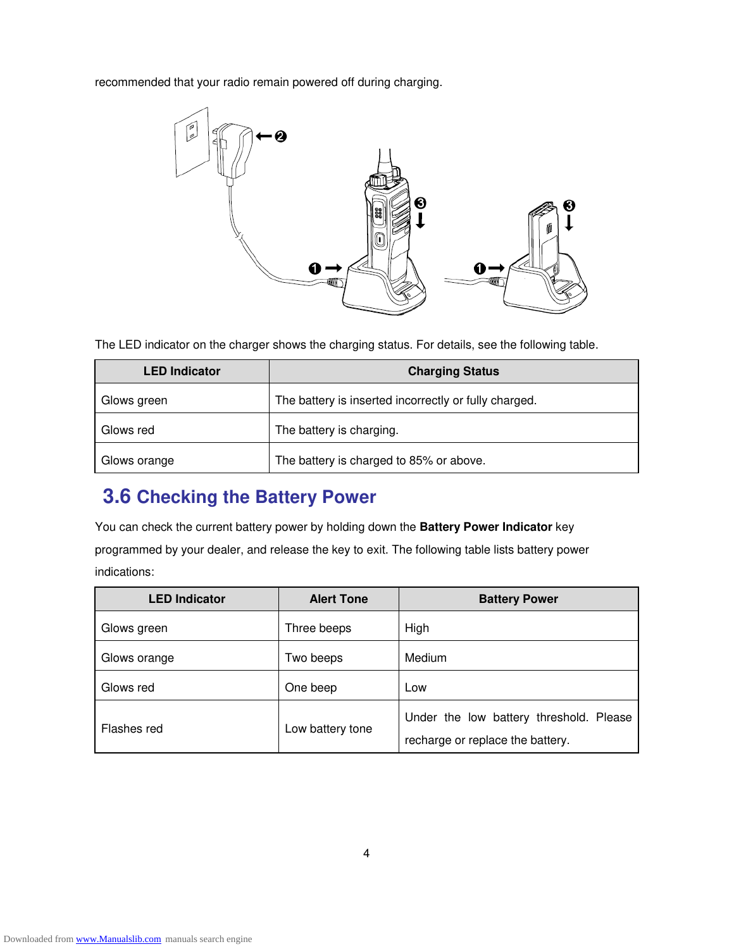recommended that your radio remain powered off during charging.



The LED indicator on the charger shows the charging status. For details, see the following table.

| <b>LED Indicator</b> | <b>Charging Status</b>                                |
|----------------------|-------------------------------------------------------|
| Glows green          | The battery is inserted incorrectly or fully charged. |
| Glows red            | The battery is charging.                              |
| Glows orange         | The battery is charged to 85% or above.               |

### **3.6 Checking the Battery Power**

You can check the current battery power by holding down the **Battery Power Indicator** key programmed by your dealer, and release the key to exit. The following table lists battery power indications:

| <b>LED Indicator</b> | <b>Alert Tone</b> | <b>Battery Power</b>                    |
|----------------------|-------------------|-----------------------------------------|
| Glows green          | Three beeps       | High                                    |
| Glows orange         | Two beeps         | Medium                                  |
| Glows red            | One beep          | Low                                     |
| Flashes red          | Low battery tone  | Under the low battery threshold. Please |
|                      |                   | recharge or replace the battery.        |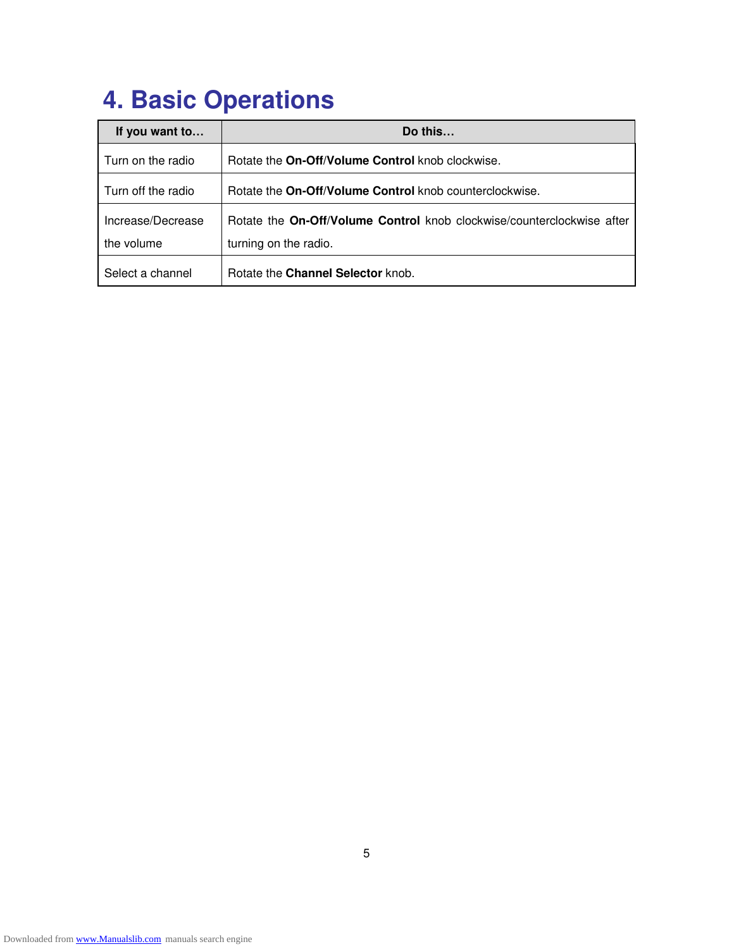# **4. Basic Operations**

| If you want to     | Do this                                                                |
|--------------------|------------------------------------------------------------------------|
| Turn on the radio  | Rotate the On-Off/Volume Control knob clockwise.                       |
| Turn off the radio | Rotate the On-Off/Volume Control knob counterclockwise.                |
| Increase/Decrease  | Rotate the On-Off/Volume Control knob clockwise/counterclockwise after |
| the volume         | turning on the radio.                                                  |
| Select a channel   | Rotate the Channel Selector knob.                                      |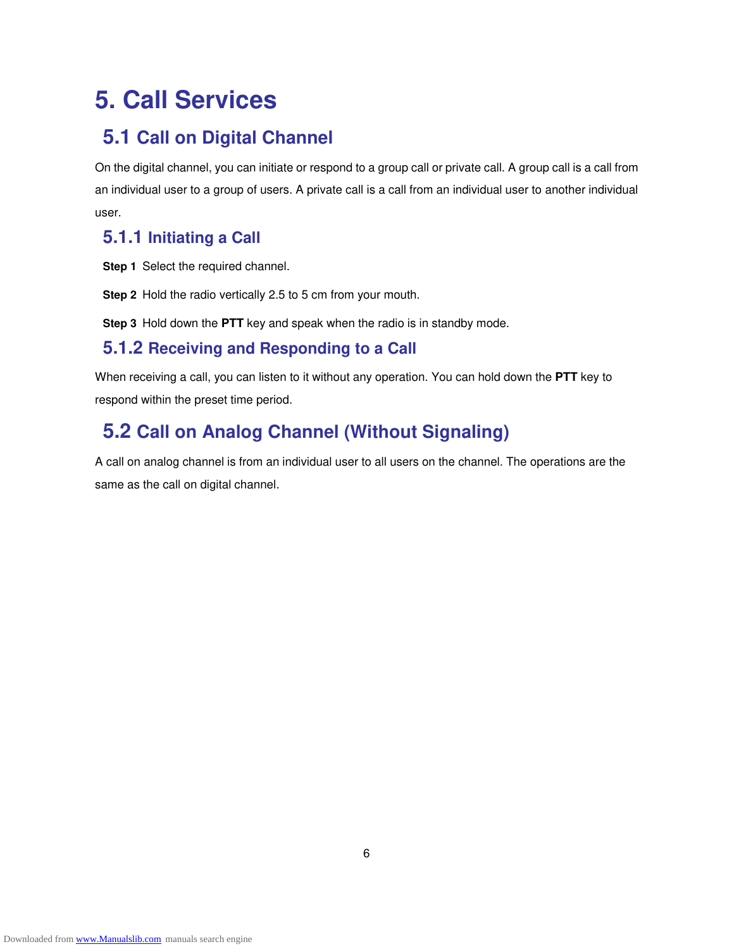# **5. Call Services**

#### **5.1 Call on Digital Channel**

On the digital channel, you can initiate or respond to a group call or private call. A group call is a call from an individual user to a group of users. A private call is a call from an individual user to another individual user.

#### **5.1.1 Initiating a Call**

**Step 1** Select the required channel.

**Step 2** Hold the radio vertically 2.5 to 5 cm from your mouth.

**Step 3** Hold down the **PTT** key and speak when the radio is in standby mode.

#### **5.1.2 Receiving and Responding to a Call**

When receiving a call, you can listen to it without any operation. You can hold down the **PTT** key to respond within the preset time period.

## **5.2 Call on Analog Channel (Without Signaling)**

A call on analog channel is from an individual user to all users on the channel. The operations are the same as the call on digital channel.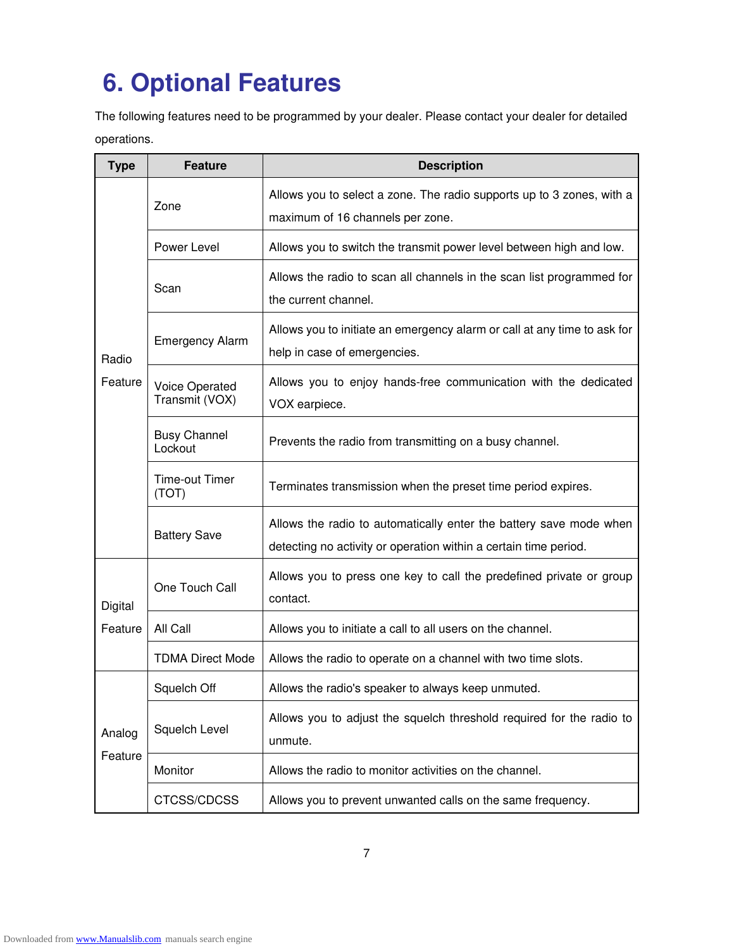# **6. Optional Features**

The following features need to be programmed by your dealer. Please contact your dealer for detailed operations.

| <b>Type</b>       | <b>Feature</b>                   | <b>Description</b>                                                                                                                     |  |
|-------------------|----------------------------------|----------------------------------------------------------------------------------------------------------------------------------------|--|
| Radio<br>Feature  | Zone                             | Allows you to select a zone. The radio supports up to 3 zones, with a<br>maximum of 16 channels per zone.                              |  |
|                   | Power Level                      | Allows you to switch the transmit power level between high and low.                                                                    |  |
|                   | Scan                             | Allows the radio to scan all channels in the scan list programmed for<br>the current channel.                                          |  |
|                   | <b>Emergency Alarm</b>           | Allows you to initiate an emergency alarm or call at any time to ask for<br>help in case of emergencies.                               |  |
|                   | Voice Operated<br>Transmit (VOX) | Allows you to enjoy hands-free communication with the dedicated<br>VOX earpiece.                                                       |  |
|                   | <b>Busy Channel</b><br>Lockout   | Prevents the radio from transmitting on a busy channel.                                                                                |  |
|                   | Time-out Timer<br>(TOT)          | Terminates transmission when the preset time period expires.                                                                           |  |
|                   | <b>Battery Save</b>              | Allows the radio to automatically enter the battery save mode when<br>detecting no activity or operation within a certain time period. |  |
| Digital           | One Touch Call                   | Allows you to press one key to call the predefined private or group<br>contact.                                                        |  |
| Feature           | All Call                         | Allows you to initiate a call to all users on the channel.                                                                             |  |
|                   | <b>TDMA Direct Mode</b>          | Allows the radio to operate on a channel with two time slots.                                                                          |  |
| Analog<br>Feature | Squelch Off                      | Allows the radio's speaker to always keep unmuted.                                                                                     |  |
|                   | Squelch Level                    | Allows you to adjust the squelch threshold required for the radio to<br>unmute.                                                        |  |
|                   | Monitor                          | Allows the radio to monitor activities on the channel.                                                                                 |  |
|                   | CTCSS/CDCSS                      | Allows you to prevent unwanted calls on the same frequency.                                                                            |  |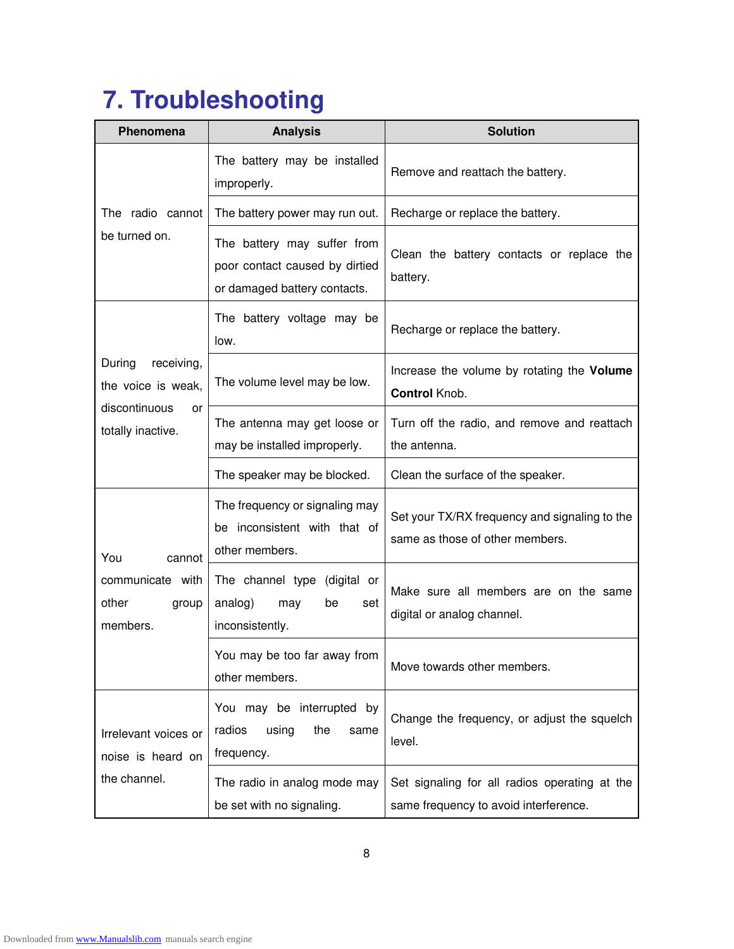# **7. Troubleshooting**

| Phenomena                                                                              | <b>Analysis</b>                                                                               | <b>Solution</b>                                                                        |  |
|----------------------------------------------------------------------------------------|-----------------------------------------------------------------------------------------------|----------------------------------------------------------------------------------------|--|
|                                                                                        | The battery may be installed<br>improperly.                                                   | Remove and reattach the battery.                                                       |  |
| The radio cannot                                                                       | The battery power may run out.                                                                | Recharge or replace the battery.                                                       |  |
| be turned on.                                                                          | The battery may suffer from<br>poor contact caused by dirtied<br>or damaged battery contacts. | Clean the battery contacts or replace the<br>battery.                                  |  |
| During<br>receiving,<br>the voice is weak,<br>discontinuous<br>or<br>totally inactive. | The battery voltage may be<br>low.                                                            | Recharge or replace the battery.                                                       |  |
|                                                                                        | The volume level may be low.                                                                  | Increase the volume by rotating the Volume<br>Control Knob.                            |  |
|                                                                                        | The antenna may get loose or<br>may be installed improperly.                                  | Turn off the radio, and remove and reattach<br>the antenna.                            |  |
|                                                                                        | The speaker may be blocked.                                                                   | Clean the surface of the speaker.                                                      |  |
| You<br>cannot<br>communicate with<br>other<br>group<br>members.                        | The frequency or signaling may<br>be inconsistent with that of<br>other members.              | Set your TX/RX frequency and signaling to the<br>same as those of other members.       |  |
|                                                                                        | The channel type (digital or<br>analog)<br>may<br>be<br>set<br>inconsistently.                | Make sure all members are on the same<br>digital or analog channel.                    |  |
|                                                                                        | You may be too far away from<br>other members.                                                | Move towards other members.                                                            |  |
| Irrelevant voices or<br>noise is heard on<br>the channel.                              | You may be interrupted by<br>radios<br>using<br>the<br>same<br>frequency.                     | Change the frequency, or adjust the squelch<br>level.                                  |  |
|                                                                                        | The radio in analog mode may<br>be set with no signaling.                                     | Set signaling for all radios operating at the<br>same frequency to avoid interference. |  |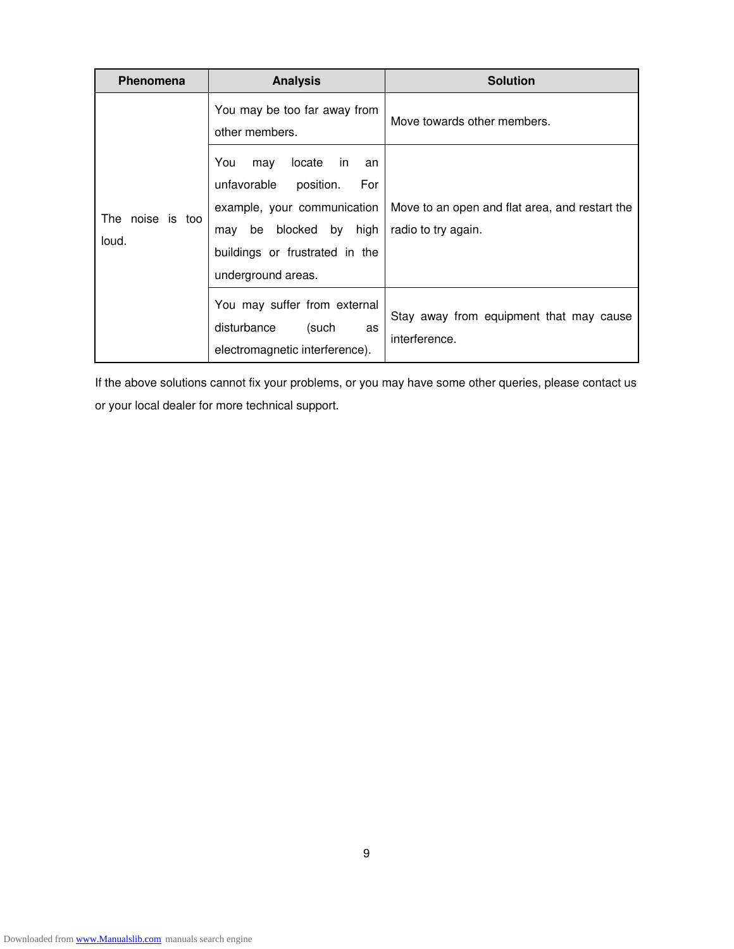| <b>Phenomena</b>             | <b>Analysis</b>                                                                                                                                                                          | <b>Solution</b>                                                       |
|------------------------------|------------------------------------------------------------------------------------------------------------------------------------------------------------------------------------------|-----------------------------------------------------------------------|
| The<br>noise is too<br>loud. | You may be too far away from<br>other members.                                                                                                                                           | Move towards other members.                                           |
|                              | You<br>locate<br>in.<br>may<br>an<br>unfavorable<br>position.<br>For<br>example, your communication<br>be blocked by high<br>may<br>buildings or frustrated in the<br>underground areas. | Move to an open and flat area, and restart the<br>radio to try again. |
|                              | You may suffer from external<br>disturbance<br>(such<br>as<br>electromagnetic interference).                                                                                             | Stay away from equipment that may cause<br>interference.              |

If the above solutions cannot fix your problems, or you may have some other queries, please contact us or your local dealer for more technical support.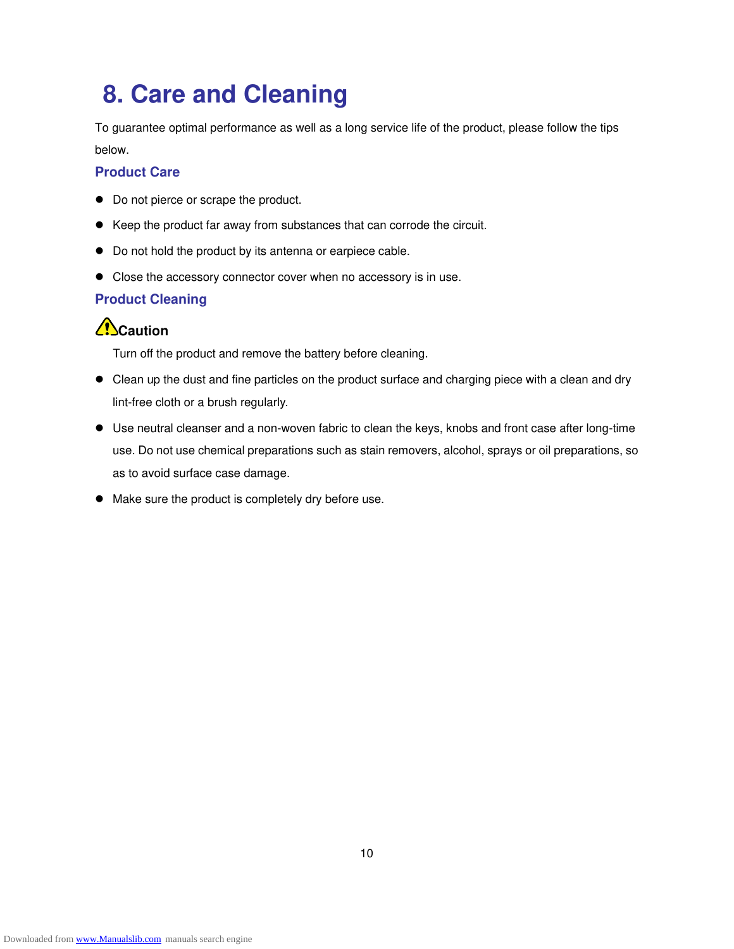# **8. Care and Cleaning**

To guarantee optimal performance as well as a long service life of the product, please follow the tips below.

#### **Product Care**

- $\bullet$  Do not pierce or scrape the product.
- Keep the product far away from substances that can corrode the circuit.
- $\bullet$  Do not hold the product by its antenna or earpiece cable.
- Close the accessory connector cover when no accessory is in use.

#### **Product Cleaning**

#### **Caution**

Turn off the product and remove the battery before cleaning.

- Clean up the dust and fine particles on the product surface and charging piece with a clean and dry lint-free cloth or a brush regularly.
- Use neutral cleanser and a non-woven fabric to clean the keys, knobs and front case after long-time use. Do not use chemical preparations such as stain removers, alcohol, sprays or oil preparations, so as to avoid surface case damage.
- $\bullet$  Make sure the product is completely dry before use.